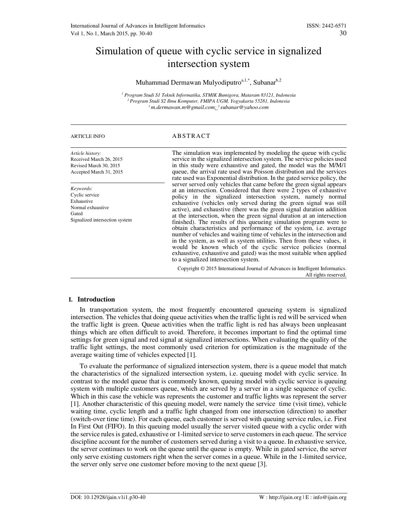# Simulation of queue with cyclic service in signalized intersection system

## Muhammad Dermawan Mulyodiputro<sup>a,1,\*</sup>, Subanar<sup>b,2</sup>

*1 Program Studi S1 Teknik Informatika, STMIK Bumigora, Mataram 83121, Indonesia <sup>2</sup>Program Studi S2 Ilmu Komputer, FMIPA UGM, Yogyakarta 55281, Indonesia <sup>1</sup>m.dermawan.m@gmail.com; 2 subanar@yahoo.com*

| <b>ARTICLE INFO</b>                                                                                       | ABSTRACT                                                                                                                                                                                                                                                                                                                                                                                                                                                                                                                                                                                                                                                                                                                                                                                                                                                                                                              |  |  |  |  |  |
|-----------------------------------------------------------------------------------------------------------|-----------------------------------------------------------------------------------------------------------------------------------------------------------------------------------------------------------------------------------------------------------------------------------------------------------------------------------------------------------------------------------------------------------------------------------------------------------------------------------------------------------------------------------------------------------------------------------------------------------------------------------------------------------------------------------------------------------------------------------------------------------------------------------------------------------------------------------------------------------------------------------------------------------------------|--|--|--|--|--|
| Article history:<br>Received March 26, 2015<br>Revised March 30, 2015<br>Accepted March 31, 2015          | The simulation was implemented by modeling the queue with cyclic<br>service in the signalized intersection system. The service policies used<br>in this study were exhaustive and gated, the model was the M/M/1<br>queue, the arrival rate used was Poisson distribution and the services<br>rate used was Exponential distribution. In the gated service policy, the                                                                                                                                                                                                                                                                                                                                                                                                                                                                                                                                                |  |  |  |  |  |
| Keywords:<br>Cyclic service<br>Exhaustive<br>Normal exhaustive<br>Gated<br>Signalized intersection system | server served only vehicles that came before the green signal appears<br>at an intersection. Considered that there were 2 types of exhaustive<br>policy in the signalized intersection system, namely normal<br>exhaustive (vehicles only served during the green signal was still<br>active), and exhaustive (there was the green signal duration addition<br>at the intersection, when the green signal duration at an intersection<br>finished). The results of this queueing simulation program were to<br>obtain characteristics and performance of the system, i.e. average<br>number of vehicles and waiting time of vehicles in the intersection and<br>in the system, as well as system utilities. Then from these values, it<br>would be known which of the cyclic service policies (normal<br>exhaustive, exhaustive and gated) was the most suitable when applied<br>to a signalized intersection system. |  |  |  |  |  |
|                                                                                                           | Copyright © 2015 International Journal of Advances in Intelligent Informatics.<br>All rights reserved.                                                                                                                                                                                                                                                                                                                                                                                                                                                                                                                                                                                                                                                                                                                                                                                                                |  |  |  |  |  |

## **I. Introduction**

In transportation system, the most frequently encountered queueing system is signalized intersection. The vehicles that doing queue activities when the traffic light is red will be serviced when the traffic light is green. Queue activities when the traffic light is red has always been unpleasant things which are often difficult to avoid. Therefore, it becomes important to find the optimal time settings for green signal and red signal at signalized intersections. When evaluating the quality of the traffic light settings, the most commonly used criterion for optimization is the magnitude of the average waiting time of vehicles expected [1].

To evaluate the performance of signalized intersection system, there is a queue model that match the characteristics of the signalized intersection system, i.e. queuing model with cyclic service. In contrast to the model queue that is commonly known, queuing model with cyclic service is queuing system with multiple customers queue, which are served by a server in a single sequence of cyclic. Which in this case the vehicle was represents the customer and traffic lights was represent the server [1]. Another characteristic of this queuing model, were namely the service time (visit time), vehicle waiting time, cyclic length and a traffic light changed from one intersection (direction) to another (switch-over time time). For each queue, each customer is served with queuing service rules, i.e. First In First Out (FIFO). In this queuing model usually the server visited queue with a cyclic order with the service rules is gated, exhaustive or 1-limited service to serve customers in each queue. The service discipline account for the number of customers served during a visit to a queue. In exhaustive service, the server continues to work on the queue until the queue is empty. While in gated service, the server only serve existing customers right when the server comes in a queue. While in the 1-limited service, the server only serve one customer before moving to the next queue [3].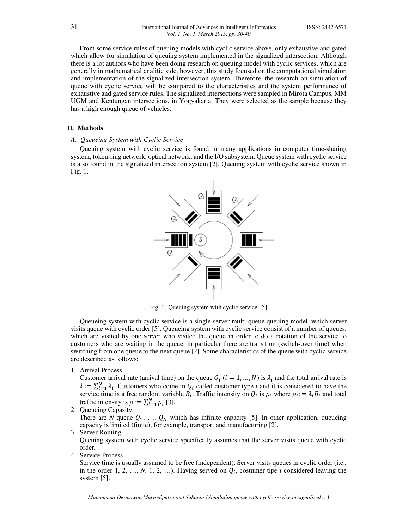From some service rules of queuing models with cyclic service above, only exhaustive and gated which allow for simulation of queuing system implemented in the signalized intersection. Although there is a lot authors who have been doing research on queuing model with cyclic services, which are generally in mathematical analitic side, however, this study focused on the computational simulation and implementation of the signalized intersection system. Therefore, the research on simulation of queue with cyclic service will be compared to the characteristics and the system performance of exhaustive and gated service rules. The signalized intersections were sampled in Mirota Campus, MM UGM and Kentungan intersections, in Yogyakarta. They were selected as the sample because they has a high enough queue of vehicles.

#### **II. Methods**

## *A. Queueing System with Cyclic Service*

Queuing system with cyclic service is found in many applications in computer time-sharing system, token-ring network, optical network, and the I/O subsystem. Queue system with cyclic service is also found in the signalized intersection system [2]. Queuing system with cyclic service shown in Fig. 1.



Fig. 1. Queuing system with cyclic service [5]

Queueing system with cyclic service is a single-server multi-queue queuing model, which server visits queue with cyclic order [5]. Queueing system with cyclic service consist of a number of queues, which are visited by one server who visited the queue in order to do a rotation of the service to customers who are waiting in the queue, in particular there are transition (switch-over time) when switching from one queue to the next queue [2]. Some characteristics of the queue with cyclic service are described as follows:

1. Arrival Process

Customer arrival rate (arrival time) on the queue  $Q_i$  ( $i = 1, ..., N$ ) is  $\lambda_i$  and the total arrival rate is  $\lambda = \sum_{i=1}^{N} \lambda_i$ . Customers who come in  $Q_i$  called customer type *i* and it is considered to have the service time is a free random variable  $B_i$ . Traffic intensity on  $Q_i$  is  $\rho_i$  where  $\rho_i = \lambda_i B_i$  and total traffic intensity is  $\rho := \sum_{i=1}^{N} \rho_i$  [3].

2. Queueing Capasity

There are *N* queue  $Q_1$ , ...,  $Q_N$  which has infinite capacity [5]. In other application, queueing capacity is limited (finite), for example, transport and manufacturing [2].

#### 3. Server Routing

Queuing system with cyclic service specifically assumes that the server visits queue with cyclic order.

4. Service Process

Service time is usually assumed to be free (independent). Server visits queues in cyclic order (i.e., in the order 1, 2, ..., *N*, 1, 2, ...). Having served on  $Q_i$ , costumer tipe *i* considered leaving the system [5].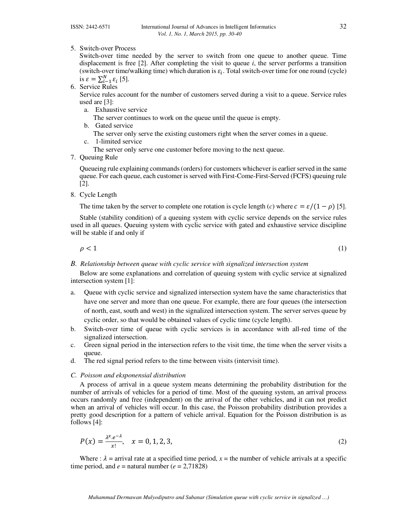5. Switch-over Process

Switch-over time needed by the server to switch from one queue to another queue. Time displacement is free  $[2]$ . After completing the visit to queue *i*, the server performs a transition (switch-over time/walking time) which duration is  $\varepsilon_i$ . Total switch-over time for one round (cycle) is  $\varepsilon = \sum_{i=1}^{N} \varepsilon_i$  [5].

6. Service Rules

Service rules account for the number of customers served during a visit to a queue. Service rules used are [3]:

a. Exhaustive service

The server continues to work on the queue until the queue is empty.

b. Gated service

The server only serve the existing customers right when the server comes in a queue.

c. 1-limited service

The server only serve one customer before moving to the next queue.

7. Queuing Rule

Queueing rule explaining commands (orders) for customers whichever is earlier served in the same queue. For each queue, each customer is served with First-Come-First-Served (FCFS) queuing rule [2].

8. Cycle Length

The time taken by the server to complete one rotation is cycle length (*c*) where  $c = \varepsilon/(1 - \rho)$  [5].

Stable (stability condition) of a queuing system with cyclic service depends on the service rules used in all queues. Queuing system with cyclic service with gated and exhaustive service discipline will be stable if and only if

 $\rho < 1$  (1)

*B. Relationship between queue with cyclic service with signalized intersection system*

Below are some explanations and correlation of queuing system with cyclic service at signalized intersection system [1]:

- a. Queue with cyclic service and signalized intersection system have the same characteristics that have one server and more than one queue. For example, there are four queues (the intersection of north, east, south and west) in the signalized intersection system. The server serves queue by cyclic order, so that would be obtained values of cyclic time (cycle length).
- b. Switch-over time of queue with cyclic services is in accordance with all-red time of the signalized intersection.
- c. Green signal period in the intersection refers to the visit time, the time when the server visits a queue.
- d. The red signal period refers to the time between visits (intervisit time).

## *C. Poisson and eksponensial distribution*

A process of arrival in a queue system means determining the probability distribution for the number of arrivals of vehicles for a period of time. Most of the queuing system, an arrival process occurs randomly and free (independent) on the arrival of the other vehicles, and it can not predict when an arrival of vehicles will occur. In this case, the Poisson probability distribution provides a pretty good description for a pattern of vehicle arrival. Equation for the Poisson distribution is as follows [4]:

$$
P(x) = \frac{\lambda^x \cdot e^{-\lambda}}{x!}, \quad x = 0, 1, 2, 3,
$$
 (2)

Where :  $\lambda$  = arrival rate at a specified time period,  $x$  = the number of vehicle arrivals at a specific time period, and  $e =$  natural number ( $e = 2,71828$ )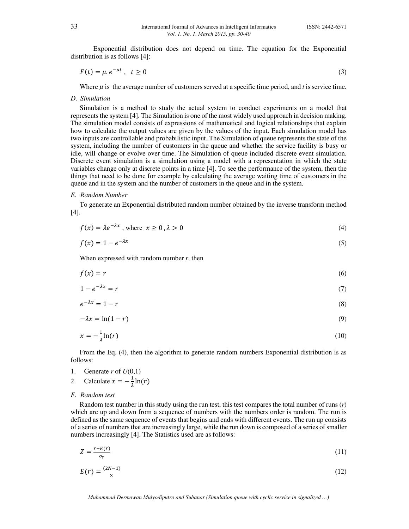Exponential distribution does not depend on time. The equation for the Exponential distribution is as follows [4]:

$$
F(t) = \mu e^{-\mu t}, \quad t \ge 0 \tag{3}
$$

Where  $\mu$  is the average number of customers served at a specific time period, and *t* is service time.

*D. Simulation* 

Simulation is a method to study the actual system to conduct experiments on a model that represents the system [4]. The Simulation is one of the most widely used approach in decision making. The simulation model consists of expressions of mathematical and logical relationships that explain how to calculate the output values are given by the values of the input. Each simulation model has two inputs are controllable and probabilistic input. The Simulation of queue represents the state of the system, including the number of customers in the queue and whether the service facility is busy or idle, will change or evolve over time. The Simulation of queue included discrete event simulation. Discrete event simulation is a simulation using a model with a representation in which the state variables change only at discrete points in a time [4]. To see the performance of the system, then the things that need to be done for example by calculating the average waiting time of customers in the queue and in the system and the number of customers in the queue and in the system.

#### *E. Random Number*

To generate an Exponential distributed random number obtained by the inverse transform method [4].

| $f(x) = \lambda e^{-\lambda x}$ , where $x \ge 0$ , $\lambda > 0$ |  |  |
|-------------------------------------------------------------------|--|--|
|-------------------------------------------------------------------|--|--|

$$
f(x) = 1 - e^{-\lambda x} \tag{5}
$$

When expressed with random number *r*, then

$$
f(x) = r \tag{6}
$$

$$
1 - e^{-\lambda x} = r \tag{7}
$$

$$
e^{-\lambda x} = 1 - r \tag{8}
$$

$$
-\lambda x = \ln(1 - r) \tag{9}
$$

$$
x = -\frac{1}{\lambda} \ln(r) \tag{10}
$$

From the Eq. (4), then the algorithm to generate random numbers Exponential distribution is as follows:

- 1. Generate  $r$  of  $U(0,1)$
- 2. Calculate  $x = -\frac{1}{\lambda}$  $\frac{1}{\lambda}$ ln(r)
- *F. Random test*

Random test number in this study using the run test, this test compares the total number of runs (*r*) which are up and down from a sequence of numbers with the numbers order is random. The run is defined as the same sequence of events that begins and ends with different events. The run up consists of a series of numbers that are increasingly large, while the run down is composed of a series of smaller numbers increasingly [4]. The Statistics used are as follows:

$$
Z = \frac{r - E(r)}{\sigma_r} \tag{11}
$$

$$
E(r) = \frac{(2N-1)}{3} \tag{12}
$$

*Muhammad Dermawan Mulyodiputro and Subanar (Simulation queue with cyclic service in signalized …)*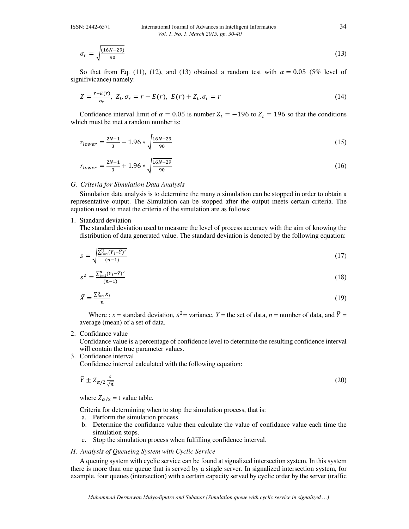#### ISSN: 2442-6571 International Journal of Advances in Intelligent Informatics 34 *Vol. 1, No. 1, March 2015, pp. 30-40*

$$
\sigma_r = \sqrt{\frac{(16N - 29)}{90}}\tag{13}
$$

So that from Eq. (11), (12), and (13) obtained a random test with  $\alpha = 0.05$  (5% level of signifivicance) namely:

$$
Z = \frac{r - E(r)}{\sigma_r}, \ Z_t, \sigma_r = r - E(r), \ E(r) + Z_t, \sigma_r = r \tag{14}
$$

Confidence interval limit of  $\alpha = 0.05$  is number  $Z_t = -196$  to  $Z_t = 196$  so that the conditions which must be met a random number is:

$$
r_{lower} = \frac{2N-1}{3} - 1.96 * \sqrt{\frac{16N-29}{90}}
$$
\n(15)

$$
r_{lower} = \frac{2N-1}{3} + 1.96 * \sqrt{\frac{16N-29}{90}}
$$
\n(16)

## *G. Criteria for Simulation Data Analysis*

Simulation data analysis is to determine the many *n* simulation can be stopped in order to obtain a representative output. The Simulation can be stopped after the output meets certain criteria. The equation used to meet the criteria of the simulation are as follows:

## 1. Standard deviation

The standard deviation used to measure the level of process accuracy with the aim of knowing the distribution of data generated value. The standard deviation is denoted by the following equation:

$$
s = \sqrt{\frac{\sum_{i=1}^{n} (Y_i - \bar{Y})^2}{(n-1)}}\tag{17}
$$

$$
s^2 = \frac{\sum_{i=1}^n (Y_i - \bar{Y})^2}{(n-1)}
$$
\n(18)

$$
\bar{X} = \frac{\sum_{i=1}^{n} X_i}{n} \tag{19}
$$

Where : *s* = standard deviation,  $S^2$  = variance, *Y* = the set of data, *n* = number of data, and  $\overline{Y}$  = average (mean) of a set of data.

## 2. Confidance value

Confidance value is a percentage of confidence level to determine the resulting confidence interval will contain the true parameter values.

3. Confidence interval

Confidence interval calculated with the following equation:

$$
\bar{Y} \pm Z_{\alpha/2} \frac{s}{\sqrt{n}} \tag{20}
$$

where  $Z_{\alpha/2} = t$  value table.

Criteria for determining when to stop the simulation process, that is:

- a. Perform the simulation process.
- b. Determine the confidance value then calculate the value of confidance value each time the simulation stops.
- c. Stop the simulation process when fulfilling confidence interval.

## *H. Analysis of Queueing System with Cyclic Service*

A queuing system with cyclic service can be found at signalized intersection system. In this system there is more than one queue that is served by a single server. In signalized intersection system, for example, four queues (intersection) with a certain capacity served by cyclic order by the server (traffic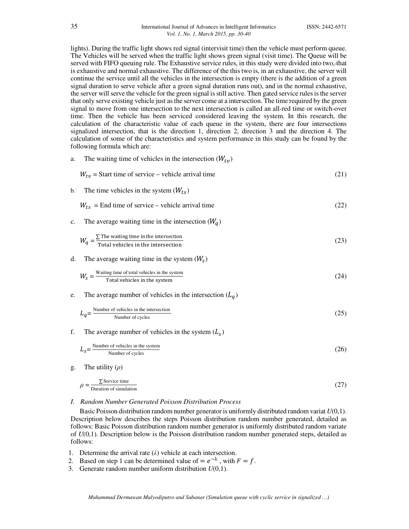lights). During the traffic light shows red signal (intervisit time) then the vehicle must perform queue. The Vehicles will be served when the traffic light shows green signal (visit time). The Queue will be served with FIFO queuing rule. The Exhaustive service rules, in this study were divided into two, that is exhaustive and normal exhaustive. The difference of the this two is, in an exhaustive, the server will continue the service until all the vehicles in the intersection is empty (there is the addition of a green signal duration to serve vehicle after a green signal duration runs out), and in the normal exhaustive, the server will serve the vehicle for the green signal is still active. Then gated service rules is the server that only serve existing vehicle just as the server come at a intersection. The time required by the green signal to move from one intersection to the next intersection is called an all-red time or switch-over time. Then the vehicle has been serviced considered leaving the system. In this research, the calculation of the characteristic value of each queue in the system, there are four intersections signalized intersection, that is the direction 1, direction 2, direction 3 and the direction 4. The calculation of some of the characteristics and system performance in this study can be found by the following formula which are:

|    | The waiting three of venicles in the intersection ( <i>vv</i> $_{t\eta}$ )                                 |      |
|----|------------------------------------------------------------------------------------------------------------|------|
|    | $W_{tv}$ = Start time of service – vehicle arrival time                                                    | (21) |
| b. | The time vehicles in the system $(W_{ts})$                                                                 |      |
|    | $W_{ts}$ = End time of service – vehicle arrival time                                                      | (22) |
| c. | The average waiting time in the intersection $(W_q)$                                                       |      |
|    | $W_q = \frac{\sum \text{The waiting time in the intersection}}{\text{Total vehicles in the intersection}}$ | (23) |
| d. | The average waiting time in the system $(W_s)$                                                             |      |
|    | $W_s = \frac{\text{Waiting time of total vehicles in the system}}{\text{Total vehicles in the system}}$    | (24) |
| e. | The average number of vehicles in the intersection $(L_q)$                                                 |      |
|    | $L_q = \frac{\text{Number of vehicles in the intersection}}{\text{Number of cycles}}$                      | (25) |
| f. | The average number of vehicles in the system $(L_s)$                                                       |      |
|    | $L_s = \frac{\text{Number of vehicles in the system}}{\text{Number of cycles}}$                            | (26) |
|    | $T1. - 11. - 11. - 11.$                                                                                    |      |

g. The utility (*ρ*)

$$
\rho = \frac{\sum \text{Service time}}{\text{Duration of simulation}}
$$
\n(27)

## *I. Random Number Generated Poisson Distribution Process*

The waiting time of vehicles in the intersection  $(M_{\alpha})$ 

Basic Poisson distribution random number generator is uniformly distributed random variat *U*(0,1). Description below describes the steps Poisson distribution random number generated, detailed as follows: Basic Poisson distribution random number generator is uniformly distributed random variate of *U*(0,1). Description below is the Poisson distribution random number generated steps, detailed as follows:

- 1. Determine the arrival rate (*λ*) vehicle at each intersection.
- 2. Based on step 1 can be determined value of  $= e^{-\lambda}$ , with  $F = f$ .
- 3. Generate random number uniform distribution *U*(0,1).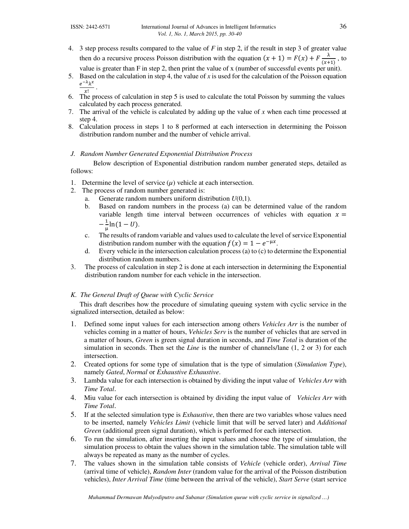- 4. 3 step process results compared to the value of *F* in step 2, if the result in step 3 of greater value then do a recursive process Poisson distribution with the equation  $(x + 1) = F(x) + F \frac{\lambda}{(x+1)}$ , to value is greater than F in step 2, then print the value of x (number of successful events per unit).
- 5. Based on the calculation in step 4, the value of x is used for the calculation of the Poisson equation  $\frac{e^{-\lambda}\lambda^x}{x!}$ .
- $x!$ 6. The process of calculation in step 5 is used to calculate the total Poisson by summing the values calculated by each process generated.
- 7. The arrival of the vehicle is calculated by adding up the value of *x* when each time processed at step 4.
- 8. Calculation process in steps 1 to 8 performed at each intersection in determining the Poisson distribution random number and the number of vehicle arrival.

## *J. Random Number Generated Exponential Distribution Process*

Below description of Exponential distribution random number generated steps, detailed as follows:

- 1. Determine the level of service  $(\mu)$  vehicle at each intersection.
- 2. The process of random number generated is:
	- a. Generate random numbers uniform distribution *U*(0,1).
	- b. Based on random numbers in the process (a) can be determined value of the random variable length time interval between occurrences of vehicles with equation  $x =$  $-\frac{1}{\cdot}$  $\frac{1}{\mu}$ ln(1 – *U*).
	- c. The results of random variable and values used to calculate the level of service Exponential distribution random number with the equation  $f(x) = 1 - e^{-\mu x}$ .
	- d. Every vehicle in the intersection calculation process (a) to (c) to determine the Exponential distribution random numbers.
- 3. The process of calculation in step 2 is done at each intersection in determining the Exponential distribution random number for each vehicle in the intersection.

## *K. The General Draft of Queue with Cyclic Service*

This draft describes how the procedure of simulating queuing system with cyclic service in the signalized intersection, detailed as below:

- 1. Defined some input values for each intersection among others *Vehicles Arr* is the number of vehicles coming in a matter of hours, *Vehicles Serv* is the number of vehicles that are served in a matter of hours, *Green* is green signal duration in seconds, and *Time Total* is duration of the simulation in seconds. Then set the *Line* is the number of channels/lane (1, 2 or 3) for each intersection.
- 2. Created options for some type of simulation that is the type of simulation (*Simulation Type*), namely *Gated*, *Normal* or *Exhaustive Exhaustive*.
- 3. Lambda value for each intersection is obtained by dividing the input value of *Vehicles Arr* with *Time Total*.
- 4. Miu value for each intersection is obtained by dividing the input value of *Vehicles Arr* with *Time Total*.
- 5. If at the selected simulation type is *Exhaustive*, then there are two variables whose values need to be inserted, namely *Vehicles Limit* (vehicle limit that will be served later) and *Additional Green* (additional green signal duration), which is performed for each intersection.
- 6. To run the simulation, after inserting the input values and choose the type of simulation, the simulation process to obtain the values shown in the simulation table. The simulation table will always be repeated as many as the number of cycles.
- 7. The values shown in the simulation table consists of *Vehicle* (vehicle order), *Arrival Time* (arrival time of vehicle), *Random Inter* (random value for the arrival of the Poisson distribution vehicles), *Inter Arrival Time* (time between the arrival of the vehicle), *Start Serve* (start service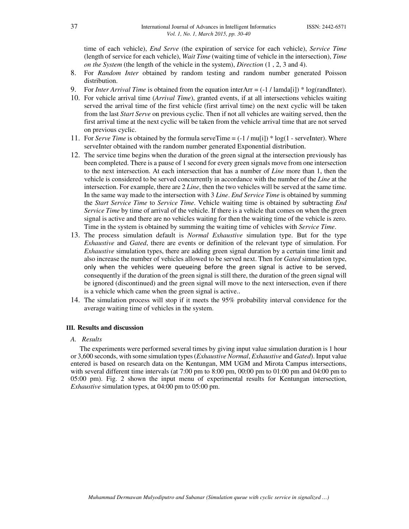time of each vehicle), *End Serve* (the expiration of service for each vehicle), *Service Time* (length of service for each vehicle), *Wait Time* (waiting time of vehicle in the intersection), *Time on the System* (the length of the vehicle in the system), *Direction* (1 , 2, 3 and 4).

- 8. For *Random Inter* obtained by random testing and random number generated Poisson distribution.
- 9. For *Inter Arrival Time* is obtained from the equation interArr  $=$  (-1 / lamda[i])  $*$  log(randInter).
- 10. For vehicle arrival time (*Arrival Time*), granted events, if at all intersections vehicles waiting served the arrival time of the first vehicle (first arrival time) on the next cyclic will be taken from the last *Start Serve* on previous cyclic. Then if not all vehicles are waiting served, then the first arrival time at the next cyclic will be taken from the vehicle arrival time that are not served on previous cyclic.
- 11. For *Serve Time* is obtained by the formula serveTime = (-1 / mu[i]) \* log(1 serveInter). Where serveInter obtained with the random number generated Exponential distribution.
- 12. The service time begins when the duration of the green signal at the intersection previously has been completed. There is a pause of 1 second for every green signals move from one intersection to the next intersection. At each intersection that has a number of *Line* more than 1, then the vehicle is considered to be served concurrently in accordance with the number of the *Line* at the intersection. For example, there are 2 *Line*, then the two vehicles will be served at the same time. In the same way made to the intersection with 3 *Line*. *End Service Time* is obtained by summing the *Start Service Time* to *Service Time*. Vehicle waiting time is obtained by subtracting *End Service Time* by time of arrival of the vehicle. If there is a vehicle that comes on when the green signal is active and there are no vehicles waiting for then the waiting time of the vehicle is zero. Time in the system is obtained by summing the waiting time of vehicles with *Service Time*.
- 13. The process simulation default is *Normal Exhaustive* simulation type. But for the type *Exhaustive* and *Gated*, there are events or definition of the relevant type of simulation. For *Exhaustive* simulation types, there are adding green signal duration by a certain time limit and also increase the number of vehicles allowed to be served next. Then for *Gated* simulation type, only when the vehicles were queueing before the green signal is active to be served, consequently if the duration of the green signal is still there, the duration of the green signal will be ignored (discontinued) and the green signal will move to the next intersection, even if there is a vehicle which came when the green signal is active..
- 14. The simulation process will stop if it meets the 95% probability interval convidence for the average waiting time of vehicles in the system.

## **III. Results and discussion**

#### *A. Results*

The experiments were performed several times by giving input value simulation duration is 1 hour or 3,600 seconds, with some simulation types (*Exhaustive Normal*, *Exhaustive* and *Gated*). Input value entered is based on research data on the Kentungan, MM UGM and Mirota Campus intersections, with several different time intervals (at 7:00 pm to 8:00 pm, 00:00 pm to 01:00 pm and 04:00 pm to 05:00 pm). Fig. 2 shown the input menu of experimental results for Kentungan intersection, *Exhaustive* simulation types, at 04:00 pm to 05:00 pm.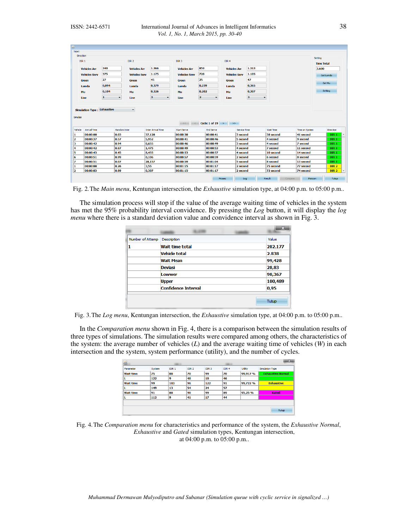| Direction<br>DIR <sub>1</sub>                                         |                   | DIR <sub>2</sub>     |                                        | DIR <sub>3</sub>         |                                                      | DIR <sub>4</sub>     |                           |                  |                | Setting           |
|-----------------------------------------------------------------------|-------------------|----------------------|----------------------------------------|--------------------------|------------------------------------------------------|----------------------|---------------------------|------------------|----------------|-------------------|
|                                                                       |                   |                      |                                        |                          |                                                      |                      |                           |                  |                | <b>Time Total</b> |
| <b>Vehicles Arr</b>                                                   | 340               | <b>Vehicles Arr</b>  | 1.366                                  | <b>Vehicles Arr</b>      | 859                                                  | <b>Vehicles Arr</b>  | 1.313                     |                  |                | 3.600             |
| <b>Vehicles Serv</b>                                                  | 375               | <b>Vehicles Serv</b> | 1.175                                  | <b>Vehicles Serv</b>     | 728                                                  | <b>Vehicles Serv</b> | 1.105                     |                  |                | Get Lamda         |
| <b>Green</b>                                                          | 27                | <b>Green</b>         | 45                                     | <b>Green</b>             | 25                                                   | <b>Green</b>         | 47                        |                  |                |                   |
| Lamda                                                                 | 0,094             | Lamda                | 0,379                                  | Lamda                    | 0,239                                                | Lamda                | 0,365                     |                  |                | Get Mu            |
| Mu                                                                    | 0,104             | Mu                   | 0,326                                  | Mu                       | 0,202                                                | Mu                   | 0,307                     |                  |                | Setting           |
| Line                                                                  | $\mathbf{1}$<br>۰ | Line                 | $\vert$ <sub>3</sub><br>$\blacksquare$ | Line                     | $\vert$ 2<br>$\blacktriangledown$                    | Line                 | 3<br>$\blacktriangledown$ |                  |                |                   |
|                                                                       |                   | $\blacktriangledown$ |                                        | $\overline{\mathcal{L}}$ | $\langle$ Cyclic 1 of 19 $\rightarrow$ $\rightarrow$ |                      |                           |                  |                |                   |
| <b>Arrival Time</b>                                                   |                   | Random Inter         | <b>Inter Arrival Time</b>              | <b>Start Serve</b>       | <b>End Serve</b>                                     | <b>Service Time</b>  |                           | <b>Wait Time</b> | Time on System | <b>Direction</b>  |
| 00:00:00                                                              | 0.03              |                      | 37.128                                 | 00:00:38                 | 00:00:41                                             | 3 second             |                           | 38 second        | 41 second      | DIR <sub>1</sub>  |
| 00:00:37                                                              | 0.57              |                      | 5.952                                  | 00:00:41                 | 00:00:46                                             | 5 second             |                           | 4 second         | 9 second       | DIR <sub>1</sub>  |
| <b>Simulation Type: Exhaustive</b><br>Simulasi<br>Vehicle<br>00:00:42 | 0.94              |                      | 0.655                                  | 00:00:46                 | 00:00:49                                             | 3 second             |                           | 4 second         | 7 second       | DIR <sub>1</sub>  |
| 00:00:42                                                              | 0.87              |                      | 1.475                                  | 00:00:49                 | 00:00:53                                             | 4 second             |                           | 7 second         | 11 second      | DIR <sub>1</sub>  |
| 00:00:43                                                              | 0.45              |                      | 8.455                                  | 00:00:53                 | 00:00:57                                             | 4 second             |                           | 10 second        | 14 second      | DIR <sub>1</sub>  |
| 00:00:51                                                              | 0.99              |                      | 0.106                                  | 00:00:57                 | 00:00:59                                             | 2 second             |                           | 6 second         | 8 second       | DIR <sub>1</sub>  |
| 00:00:51                                                              | 0.07              |                      | 28.157                                 | 00:00:59                 | 00:01:04                                             | 5 second             |                           | 8 second         | 13 second      | DIR <sub>1</sub>  |
| 00:00:00                                                              | 0.26              |                      | 3,55                                   | 00:01:15                 | 00:01:17                                             | 2 second             |                           | 75 second        | 77 second      | DIR <sub>2</sub>  |

Fig. 2.The *Main menu*, Kentungan intersection, the *Exhaustive* simulation type, at 04:00 p.m. to 05:00 p.m..

The simulation process will stop if the value of the average waiting time of vehicles in the system has met the 95% probability interval convidence. By pressing the *Log* button, it will display the *log menu* where there is a standard deviation value and convidence interval as shown in Fig. 3.

| Number of Attemp Description |                            |  |       | Value   |
|------------------------------|----------------------------|--|-------|---------|
|                              | <b>Wait time total</b>     |  |       | 282.177 |
|                              | <b>Vehicle total</b>       |  |       | 2.838   |
|                              | <b>Wait Mean</b>           |  |       | 99,428  |
|                              | <b>Deviasi</b>             |  |       | 28,83   |
|                              | Lowwer                     |  |       | 98,367  |
|                              | <b>Upper</b>               |  |       | 100,489 |
|                              | <b>Confidence Interval</b> |  | 0,95  |         |
|                              |                            |  | Tutup |         |

Fig. 3.The *Log menu*, Kentungan intersection, the *Exhaustive* simulation type, at 04:00 p.m. to 05:00 p.m..

In the *Comparation menu* shown in Fig. 4, there is a comparison between the simulation results of three types of simulations. The simulation results were compared among others, the characteristics of the system: the average number of vehicles (*L*) and the average waiting time of vehicles (*W*) in each intersection and the system, system performance (utility), and the number of cycles.

| Parameter        | System | DIR <sub>1</sub> | DIR <sub>2</sub> | DIR <sub>3</sub> | DIR <sub>4</sub> | <b>Utility</b> | <b>Simulation Type</b>   |
|------------------|--------|------------------|------------------|------------------|------------------|----------------|--------------------------|
| <b>Wait time</b> | 75     | 88               | 70               | 99               | 70               | 99,917 %       | <b>Exhaustive Normal</b> |
| L                | 122    | 9                | 48               | 18               | 46               |                |                          |
| <b>Wait time</b> | 99     | 103              | 96               | 122              | 91               | 99,722 %       | <b>Exhaustive</b>        |
| L                | 149    | 13               | 54               | 24               | 57               |                |                          |
| <b>Wait time</b> | 91     | 88               | 90               | 99               | 89               | 95,25 %        | Gated                    |
| ι                | 112    | 9                | 41               | 17               | 44               |                |                          |

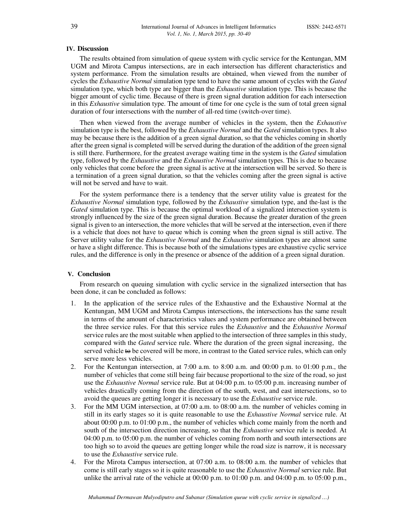#### **IV. Discussion**

The results obtained from simulation of queue system with cyclic service for the Kentungan, MM UGM and Mirota Campus intersections, are in each intersection has different characteristics and system performance. From the simulation results are obtained, when viewed from the number of cycles the *Exhaustive Normal* simulation type tend to have the same amount of cycles with the *Gated* simulation type, which both type are bigger than the *Exhaustive* simulation type. This is because the bigger amount of cyclic time. Because of there is green signal duration addition for each intersection in this *Exhaustive* simulation type. The amount of time for one cycle is the sum of total green signal duration of four intersections with the number of all-red time (switch-over time).

Then when viewed from the average number of vehicles in the system, then the *Exhaustive* simulation type is the best, followed by the *Exhaustive Normal* and the *Gated* simulation types. It also may be because there is the addition of a green signal duration, so that the vehicles coming in shortly after the green signal is completed will be served during the duration of the addition of the green signal is still there. Furthermore, for the greatest average waiting time in the system is the *Gated* simulation type, followed by the *Exhaustive* and the *Exhaustive Normal* simulation types. This is due to because only vehicles that come before the green signal is active at the intersection will be served. So there is a termination of a green signal duration, so that the vehicles coming after the green signal is active will not be served and have to wait.

For the system performance there is a tendency that the server utility value is greatest for the *Exhaustive Normal* simulation type, followed by the *Exhaustive* simulation type, and the last is the *Gated* simulation type. This is because the optimal workload of a signalized intersection system is strongly influenced by the size of the green signal duration. Because the greater duration of the green signal is given to an intersection, the more vehicles that will be served at the intersection, even if there is a vehicle that does not have to queue which is coming when the green signal is still active. The Server utility value for the *Exhaustive Normal* and the *Exhaustive* simulation types are almost same or have a slight difference. This is because both of the simulations types are exhaustive cyclic service rules, and the difference is only in the presence or absence of the addition of a green signal duration.

#### **V. Conclusion**

From research on queuing simulation with cyclic service in the signalized intersection that has been done, it can be concluded as follows:

- 1. In the application of the service rules of the Exhaustive and the Exhaustive Normal at the Kentungan, MM UGM and Mirota Campus intersections, the intersections has the same result in terms of the amount of characteristics values and system performance are obtained between the three service rules. For that this service rules the *Exhaustive* and the *Exhaustive Normal* service rules are the most suitable when applied to the intersection of three samples in this study, compared with the *Gated* service rule. Where the duration of the green signal increasing, the served vehicle to be covered will be more, in contrast to the Gated service rules, which can only serve more less vehicles.
- 2. For the Kentungan intersection, at 7:00 a.m. to 8:00 a.m. and 00:00 p.m. to 01:00 p.m., the number of vehicles that come still being fair because proportional to the size of the road, so just use the *Exhaustive Normal* service rule. But at 04:00 p.m. to 05:00 p.m. increasing number of vehicles drastically coming from the direction of the south, west, and east intersections, so to avoid the queues are getting longer it is necessary to use the *Exhaustive* service rule.
- 3. For the MM UGM intersection, at 07:00 a.m. to 08:00 a.m. the number of vehicles coming in still in its early stages so it is quite reasonable to use the *Exhaustive Normal* service rule. At about 00:00 p.m. to 01:00 p.m., the number of vehicles which come mainly from the north and south of the intersection direction increasing, so that the *Exhaustive* service rule is needed. At 04:00 p.m. to 05:00 p.m. the number of vehicles coming from north and south intersections are too high so to avoid the queues are getting longer while the road size is narrow, it is necessary to use the *Exhaustive* service rule.
- 4. For the Mirota Campus intersection, at 07:00 a.m. to 08:00 a.m. the number of vehicles that come is still early stages so it is quite reasonable to use the *Exhaustive Normal* service rule. But unlike the arrival rate of the vehicle at  $00:00$  p.m. to  $01:00$  p.m. and  $04:00$  p.m. to  $05:00$  p.m.,